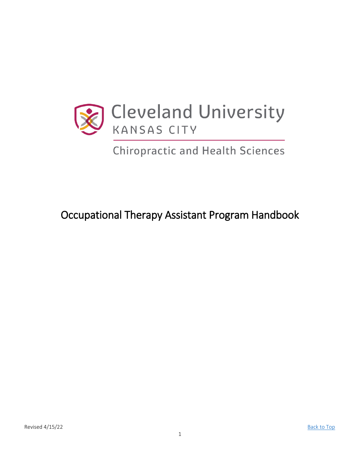<span id="page-0-0"></span>

**Chiropractic and Health Sciences** 

Occupational Therapy Assistant Program Handbook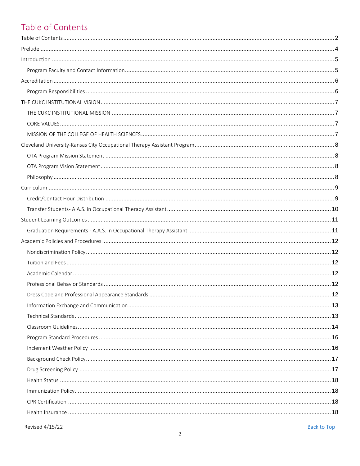# <span id="page-1-0"></span>Table of Contents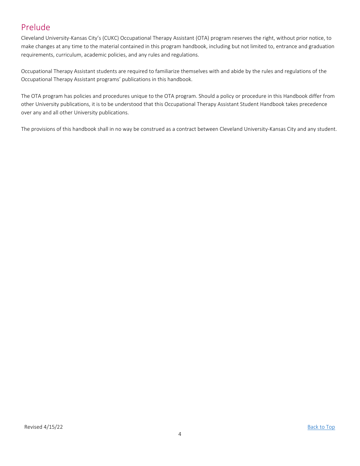# <span id="page-3-0"></span>Prelude

Cleveland University-Kansas City's (CUKC) Occupational Therapy Assistant (OTA) program reserves the right, without prior notice, to make changes at any time to the material contained in this program handbook, including but not limited to, entrance and graduation requirements, curriculum, academic policies, and any rules and regulations.

Occupational Therapy Assistant students are required to familiarize themselves with and abide by the rules and regulations of the Occupational Therapy Assistant programs' publications in this handbook.

The OTA program has policies and procedures unique to the OTA program. Should a policy or procedure in this Handbook differ from other University publications, it is to be understood that this Occupational Therapy Assistant Student Handbook takes precedence over any and all other University publications.

The provisions of this handbook shall in no way be construed as a contract between Cleveland University-Kansas City and any student.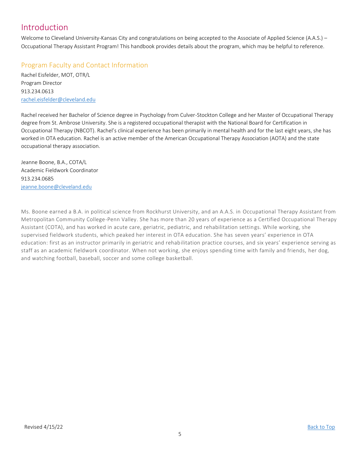# <span id="page-4-0"></span>Introduction

Welcome to Cleveland University-Kansas City and congratulations on being accepted to the Associate of Applied Science (A.A.S.) – Occupational Therapy Assistant Program! This handbook provides details about the program, which may be helpful to reference.

# <span id="page-4-1"></span>Program Faculty and Contact Information

Rachel Eisfelder, MOT, OTR/L Program Director 913.234.0613 [rachel.eisfelder@cleveland.edu](mailto:rachel.eisfelder@cleveland.edu)

Rachel received her Bachelor of Science degree in Psychology from Culver-Stockton College and her Master of Occupational Therapy degree from St. Ambrose University. She is a registered occupational therapist with the National Board for Certification in Occupational Therapy (NBCOT). Rachel's clinical experience has been primarily in mental health and for the last eight years, she has worked in OTA education. Rachel is an active member of the American Occupational Therapy Association (AOTA) and the state occupational therapy association.

Jeanne Boone, B.A., COTA/L Academic Fieldwork Coordinator 913.234.0685 [jeanne.boone@cleveland.edu](mailto:michelle.fisher@cleveland.edu)

Ms. Boone earned a B.A. in political science from Rockhurst University, and an A.A.S. in Occupational Therapy Assistant from Metropolitan Community College-Penn Valley. She has more than 20 years of experience as a Certified Occupational Therapy Assistant (COTA), and has worked in acute care, geriatric, pediatric, and rehabilitation settings. While working, she supervised fieldwork students, which peaked her interest in OTA education. She has seven years' experience in OTA education: first as an instructor primarily in geriatric and rehabilitation practice courses, and six years' experience serving as staff as an academic fieldwork coordinator. When not working, she enjoys spending time with family and friends, her dog, and watching football, baseball, soccer and some college basketball.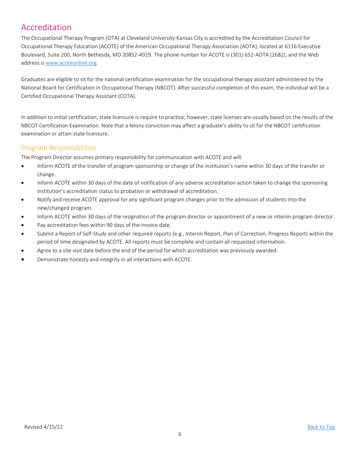# <span id="page-5-0"></span>Accreditation

The Occupational Therapy Program (OTA) at Cleveland University-Kansas City is accredited by the Accreditation Council for Occupational Therapy Education (ACOTE) of the American Occupational Therapy Association (AOTA), located at 6116 Executive Boulevard, Suite 200, North Bethesda, MD 20852-4929. The phone number for ACOTE is (301) 652-AOTA (2682), and the Web address is www.acoteonline.org.

Graduates are eligible to sit for the national certification examination for the occupational therapy assistant administered by the National Board for Certification in Occupational Therapy (NBCOT). After successful completion of this exam, the individual will be a Certified Occupational Therapy Assistant (COTA).

In addition to initial certification, state licensure is require to practice; however, state licenses are usually based on the results of the NBCOT Certification Examination. Note that a felony conviction may affect a graduate's ability to sit for the NBCOT certification examination or attain state licensure.

# <span id="page-5-1"></span>Program Responsibilities

The Program Director assumes primary responsibility for communication with ACOTE and will:

- Inform ACOTE of the transfer of program sponsorship or change of the institution's name within 30 days of the transfer or change.
- Inform ACOTE within 30 days of the date of notification of any adverse accreditation action taken to change the sponsoring institution's accreditation status to probation or withdrawal of accreditation.
- Notify and receive ACOTE approval for any significant program changes prior to the admission of students into the new/changed program.
- Inform ACOTE within 30 days of the resignation of the program director or appointment of a new or interim program director.
- Pay accreditation fees within 90 days of the invoice date.
- Submit a Report of Self-Study and other required reports (e.g., Interim Report, Plan of Correction, Progress Report) within the period of time designated by ACOTE. All reports must be complete and contain all requested information.
- Agree to a site visit date before the end of the period for which accreditation was previously awarded.
- Demonstrate honesty and integrity in all interactions with ACOTE.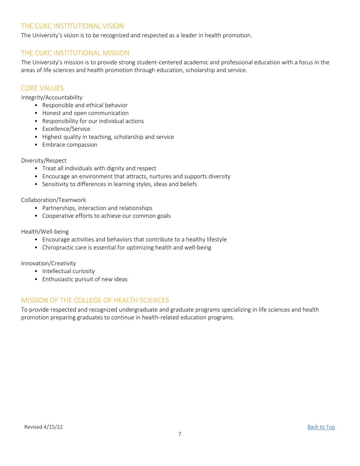# <span id="page-6-0"></span>THE CUKC INSTITUTIONAL VISION

The University's vision is to be recognized and respected as a leader in health promotion.

# <span id="page-6-1"></span>THE CUKC INSTITUTIONAL MISSION

The University's mission is to provide strong student-centered academic and professional education with a focus in the areas of life sciences and health promotion through education, scholarship and service.

## <span id="page-6-2"></span>CORE VALUES

Integrity/Accountability

- Responsible and ethical behavior
- Honest and open communication
- Responsibility for our individual actions
- Excellence/Service
- Highest quality in teaching, scholarship and service
- Embrace compassion

### Diversity/Respect

- Treat all individuals with dignity and respect
- Encourage an environment that attracts, nurtures and supports diversity
- Sensitivity to differences in learning styles, ideas and beliefs

### Collaboration/Teamwork

- Partnerships, interaction and relationships
- Cooperative efforts to achieve our common goals

### Health/Well-being

- Encourage activities and behaviors that contribute to a healthy lifestyle
- Chiropractic care is essential for optimizing health and well-being

### Innovation/Creativity

- Intellectual curiosity
- Enthusiastic pursuit of new ideas

# <span id="page-6-3"></span>MISSION OF THE COLLEGE OF HEALTH SCIENCES

To provide respected and recognized undergraduate and graduate programs specializing in life sciences and health promotion preparing graduates to continue in health-related education programs.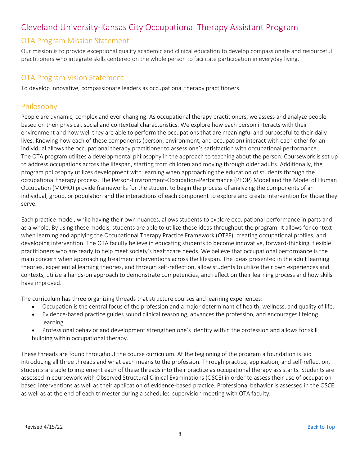# <span id="page-7-0"></span>Cleveland University-Kansas City Occupational Therapy Assistant Program

# <span id="page-7-1"></span>OTA Program Mission Statement

Our mission is to provide exceptional quality academic and clinical education to develop compassionate and resourceful practitioners who integrate skills centered on the whole person to facilitate participation in everyday living.

# <span id="page-7-2"></span>OTA Program Vision Statement

To develop innovative, compassionate leaders as occupational therapy practitioners.

# <span id="page-7-3"></span>Philosophy

People are dynamic, complex and ever changing. As occupational therapy practitioners, we assess and analyze people based on their physical, social and contextual characteristics. We explore how each person interacts with their environment and how well they are able to perform the occupations that are meaningful and purposeful to their daily lives. Knowing how each of these components (person, environment, and occupation) interact with each other for an individual allows the occupational therapy practitioner to assess one's satisfaction with occupational performance. The OTA program utilizes a developmental philosophy in the approach to teaching about the person. Coursework is set up to address occupations across the lifespan, starting from children and moving through older adults. Additionally, the program philosophy utilizes development with learning when approaching the education of students through the occupational therapy process. The Person-Environment-Occupation-Performance (PEOP) Model and the Model of Human Occupation (MOHO) provide frameworks for the student to begin the process of analyzing the components of an individual, group, or population and the interactions of each component to explore and create intervention for those they serve.

Each practice model, while having their own nuances, allows students to explore occupational performance in parts and as a whole. By using these models, students are able to utilize these ideas throughout the program. It allows for context when learning and applying the Occupational Therapy Practice Framework (OTPF), creating occupational profiles, and developing intervention. The OTA faculty believe in educating students to become innovative, forward-thinking, flexible practitioners who are ready to help meet society's healthcare needs. We believe that occupational performance is the main concern when approaching treatment interventions across the lifespan. The ideas presented in the adult learning theories, experiential learning theories, and through self-reflection, allow students to utilize their own experiences and contexts, utilize a hands-on approach to demonstrate competencies, and reflect on their learning process and how skills have improved.

The curriculum has three organizing threads that structure courses and learning experiences:

- Occupation is the central focus of the profession and a major determinant of health, wellness, and quality of life.
- Evidence-based practice guides sound clinical reasoning, advances the profession, and encourages lifelong learning.
- Professional behavior and development strengthen one's identity within the profession and allows for skill building within occupational therapy.

These threads are found throughout the course curriculum. At the beginning of the program a foundation is laid introducing all three threads and what each means to the profession. Through practice, application, and self-reflection, students are able to implement each of these threads into their practice as occupational therapy assistants. Students are assessed in coursework with Observed Structural Clinical Examinations (OSCE) in order to assess their use of occupationbased interventions as well as their application of evidence-based practice. Professional behavior is assessed in the OSCE as well as at the end of each trimester during a scheduled supervision meeting with OTA faculty.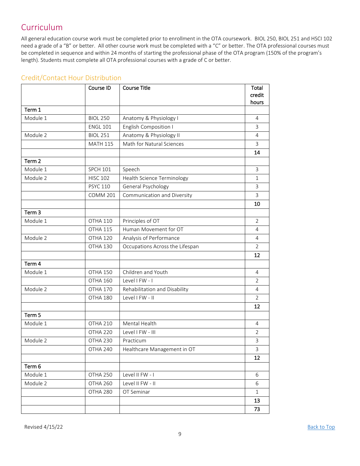# <span id="page-8-0"></span>Curriculum

All general education course work must be completed prior to enrollment in the OTA coursework. BIOL 250, BIOL 251 and HSCI 102 need a grade of a "B" or better. All other course work must be completed with a "C" or better. The OTA professional courses must be completed in sequence and within 24 months of starting the professional phase of the OTA program (150% of the program's length). Students must complete all OTA professional courses with a grade of C or better.

|                   | Course ID           | <b>Course Title</b>             | Total<br>credit<br>hours  |
|-------------------|---------------------|---------------------------------|---------------------------|
| Term 1            |                     |                                 |                           |
| Module 1          | <b>BIOL 250</b>     | Anatomy & Physiology I          | $\overline{4}$            |
|                   | <b>ENGL 101</b>     | English Composition I           | 3                         |
| Module 2          | <b>BIOL 251</b>     | Anatomy & Physiology II         | 4                         |
|                   | <b>MATH 115</b>     | Math for Natural Sciences       | 3                         |
|                   |                     |                                 | 14                        |
| Term 2            |                     |                                 |                           |
| Module 1          | <b>SPCH 101</b>     | Speech                          | 3                         |
| Module 2          | <b>HISC 102</b>     | Health Science Terminology      | $\mathbf{1}$              |
|                   | <b>PSYC 110</b>     | General Psychology              | 3                         |
|                   | <b>COMM 201</b>     | Communication and Diversity     | 3                         |
|                   |                     |                                 | 10                        |
| Term <sub>3</sub> |                     |                                 |                           |
| Module 1          | OTHA 110            | Principles of OT                | $\overline{2}$            |
|                   | OTHA 115            | Human Movement for OT           | 4                         |
| Module 2          | OTHA 120            | Analysis of Performance         | 4                         |
|                   | OTHA 130            | Occupations Across the Lifespan | $\overline{2}$            |
|                   |                     |                                 | 12                        |
| Term 4            |                     |                                 |                           |
| Module 1          | OTHA 150            | Children and Youth              | $\overline{4}$            |
|                   | OTHA 160            | Level I FW - I                  | $\overline{2}$            |
| Module 2          | OTHA 170            | Rehabilitation and Disability   | 4                         |
|                   | OTHA 180            | Level I FW - II                 | $\overline{2}$            |
|                   |                     |                                 | 12                        |
| Term 5            |                     |                                 |                           |
| Module 1          | OTHA 210            | Mental Health                   | 4                         |
|                   | OTHA <sub>220</sub> | Level I FW - III                | 2                         |
| Module 2          | OTHA 230            | Practicum                       | $\ensuremath{\mathsf{3}}$ |
|                   | OTHA 240            | Healthcare Management in OT     | 3                         |
|                   |                     |                                 | 12                        |
| Term 6            |                     |                                 |                           |
| Module 1          | OTHA 250            | Level II FW - I                 | 6                         |
| Module 2          | OTHA 260            | Level II FW - II                | 6                         |
|                   | OTHA 280            | OT Seminar                      | $\mathbf{1}$              |
|                   |                     |                                 | 13                        |
|                   |                     |                                 | 73                        |

# <span id="page-8-1"></span>Credit/Contact Hour Distribution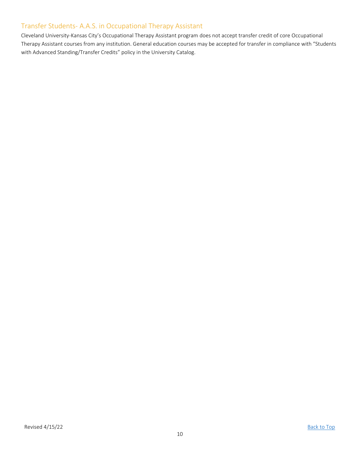# <span id="page-9-0"></span>Transfer Students- A.A.S. in Occupational Therapy Assistant

Cleveland University-Kansas City's Occupational Therapy Assistant program does not accept transfer credit of core Occupational Therapy Assistant courses from any institution. General education courses may be accepted for transfer in compliance with "Students with Advanced Standing/Transfer Credits" policy in the University Catalog.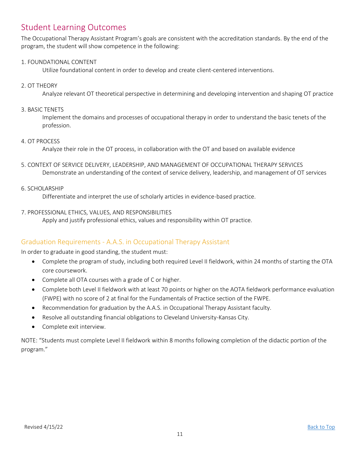# <span id="page-10-0"></span>Student Learning Outcomes

The Occupational Therapy Assistant Program's goals are consistent with the accreditation standards. By the end of the program, the student will show competence in the following:

### 1. FOUNDATIONAL CONTENT

Utilize foundational content in order to develop and create client-centered interventions.

### 2. OT THEORY

Analyze relevant OT theoretical perspective in determining and developing intervention and shaping OT practice

#### 3. BASIC TENETS

Implement the domains and processes of occupational therapy in order to understand the basic tenets of the profession.

### 4. OT PROCESS

Analyze their role in the OT process, in collaboration with the OT and based on available evidence

5. CONTEXT OF SERVICE DELIVERY, LEADERSHIP, AND MANAGEMENT OF OCCUPATIONAL THERAPY SERVICES Demonstrate an understanding of the context of service delivery, leadership, and management of OT services

#### 6. SCHOLARSHIP

Differentiate and interpret the use of scholarly articles in evidence-based practice.

### 7. PROFESSIONAL ETHICS, VALUES, AND RESPONSIBILITIES

Apply and justify professional ethics, values and responsibility within OT practice.

## <span id="page-10-1"></span>Graduation Requirements - A.A.S. in Occupational Therapy Assistant

In order to graduate in good standing, the student must:

- Complete the program of study, including both required Level II fieldwork, within 24 months of starting the OTA core coursework.
- Complete all OTA courses with a grade of C or higher.
- Complete both Level II fieldwork with at least 70 points or higher on the AOTA fieldwork performance evaluation (FWPE) with no score of 2 at final for the Fundamentals of Practice section of the FWPE.
- Recommendation for graduation by the A.A.S. in Occupational Therapy Assistant faculty.
- Resolve all outstanding financial obligations to Cleveland University-Kansas City.
- Complete exit interview.

NOTE: "Students must complete Level II fieldwork within 8 months following completion of the didactic portion of the program."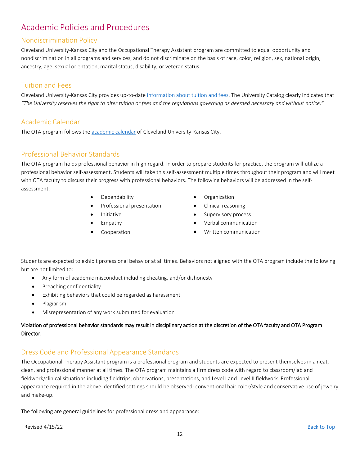# <span id="page-11-0"></span>Academic Policies and Procedures

# <span id="page-11-1"></span>Nondiscrimination Policy

Cleveland University-Kansas City and the Occupational Therapy Assistant program are committed to equal opportunity and nondiscrimination in all programs and services, and do not discriminate on the basis of race, color, religion, sex, national origin, ancestry, age, sexual orientation, marital status, disability, or veteran status.

## <span id="page-11-2"></span>Tuition and Fees

Cleveland University-Kansas City provides up-to-date [information about tuition and fees.](http://www.cleveland.edu/admissions/tuition-costs) The University Catalog clearly indicates that *"The University reserves the right to alter tuition or fees and the regulations governing as deemed necessary and without notice."*

# <span id="page-11-3"></span>Academic Calendar

The OTA program follows the [academic calendar](http://www.cleveland.edu/academic-calendar) of Cleveland University-Kansas City.

## <span id="page-11-4"></span>Professional Behavior Standards

The OTA program holds professional behavior in high regard. In order to prepare students for practice, the program will utilize a professional behavior self-assessment. Students will take this self-assessment multiple times throughout their program and will meet with OTA faculty to discuss their progress with professional behaviors. The following behaviors will be addressed in the selfassessment:

- Dependability
- Professional presentation
- Initiative
- Empathy
- **•** Cooperation
- Organization
- Clinical reasoning
- Supervisory process
- Verbal communication
- Written communication

Students are expected to exhibit professional behavior at all times. Behaviors not aligned with the OTA program include the following but are not limited to:

- Any form of academic misconduct including cheating, and/or dishonesty
- Breaching confidentiality
- Exhibiting behaviors that could be regarded as harassment
- Plagiarism
- Misrepresentation of any work submitted for evaluation

### Violation of professional behavior standards may result in disciplinary action at the discretion of the OTA faculty and OTA Program Director.

## <span id="page-11-5"></span>Dress Code and Professional Appearance Standards

The Occupational Therapy Assistant program is a professional program and students are expected to present themselves in a neat, clean, and professional manner at all times. The OTA program maintains a firm dress code with regard to classroom/lab and fieldwork/clinical situations including fieldtrips, observations, presentations, and Level I and Level II fieldwork. Professional appearance required in the above identified settings should be observed: conventional hair color/style and conservative use of jewelry and make-up.

The following are general guidelines for professional dress and appearance:

Revised 4/15/22 [Back to Top](#page-0-0)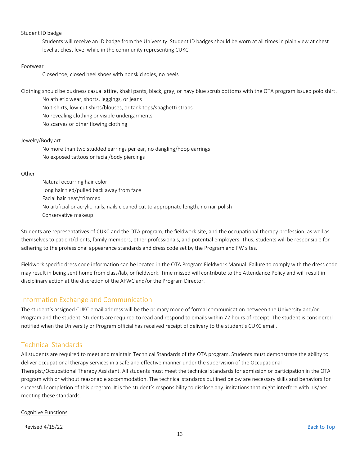#### Student ID badge

Students will receive an ID badge from the University. Student ID badges should be worn at all times in plain view at chest level at chest level while in the community representing CUKC.

#### Footwear

Closed toe, closed heel shoes with nonskid soles, no heels

Clothing should be business casual attire, khaki pants, black, gray, or navy blue scrub bottoms with the OTA program issued polo shirt.

No athletic wear, shorts, leggings, or jeans

No t-shirts, low-cut shirts/blouses, or tank tops/spaghetti straps

No revealing clothing or visible undergarments

No scarves or other flowing clothing

#### Jewelry/Body art

No more than two studded earrings per ear, no dangling/hoop earrings No exposed tattoos or facial/body piercings

#### **Other**

Natural occurring hair color Long hair tied/pulled back away from face Facial hair neat/trimmed No artificial or acrylic nails, nails cleaned cut to appropriate length, no nail polish Conservative makeup

Students are representatives of CUKC and the OTA program, the fieldwork site, and the occupational therapy profession, as well as themselves to patient/clients, family members, other professionals, and potential employers. Thus, students will be responsible for adhering to the professional appearance standards and dress code set by the Program and FW sites.

Fieldwork specific dress code information can be located in the OTA Program Fieldwork Manual. Failure to comply with the dress code may result in being sent home from class/lab, or fieldwork. Time missed will contribute to the Attendance Policy and will result in disciplinary action at the discretion of the AFWC and/or the Program Director.

## <span id="page-12-0"></span>Information Exchange and Communication

The student's assigned CUKC email address will be the primary mode of formal communication between the University and/or Program and the student. Students are required to read and respond to emails within 72 hours of receipt. The student is considered notified when the University or Program official has received receipt of delivery to the student's CUKC email.

# <span id="page-12-1"></span>Technical Standards

All students are required to meet and maintain Technical Standards of the OTA program. Students must demonstrate the ability to deliver occupational therapy services in a safe and effective manner under the supervision of the Occupational Therapist/Occupational Therapy Assistant. All students must meet the technical standards for admission or participation in the OTA program with or without reasonable accommodation. The technical standards outlined below are necessary skills and behaviors for successful completion of this program. It is the student's responsibility to disclose any limitations that might interfere with his/her meeting these standards.

#### Cognitive Functions

Revised 4/15/22 [Back to Top](#page-0-0)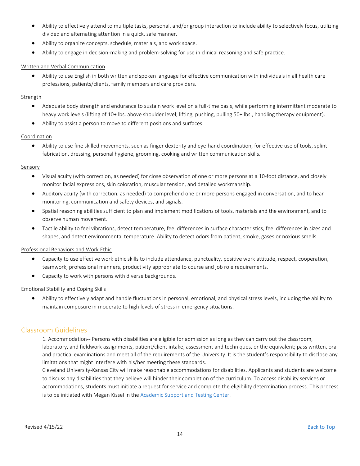- Ability to effectively attend to multiple tasks, personal, and/or group interaction to include ability to selectively focus, utilizing divided and alternating attention in a quick, safe manner.
- Ability to organize concepts, schedule, materials, and work space.
- Ability to engage in decision-making and problem-solving for use in clinical reasoning and safe practice.

#### Written and Verbal Communication

 Ability to use English in both written and spoken language for effective communication with individuals in all health care professions, patients/clients, family members and care providers.

#### **Strength**

- Adequate body strength and endurance to sustain work level on a full-time basis, while performing intermittent moderate to heavy work levels (lifting of 10+ lbs. above shoulder level; lifting, pushing, pulling 50+ lbs., handling therapy equipment).
- Ability to assist a person to move to different positions and surfaces.

#### Coordination

 Ability to use fine skilled movements, such as finger dexterity and eye-hand coordination, for effective use of tools, splint fabrication, dressing, personal hygiene, grooming, cooking and written communication skills.

#### Sensory

- Visual acuity (with correction, as needed) for close observation of one or more persons at a 10-foot distance, and closely monitor facial expressions, skin coloration, muscular tension, and detailed workmanship.
- Auditory acuity (with correction, as needed) to comprehend one or more persons engaged in conversation, and to hear monitoring, communication and safety devices, and signals.
- Spatial reasoning abilities sufficient to plan and implement modifications of tools, materials and the environment, and to observe human movement.
- Tactile ability to feel vibrations, detect temperature, feel differences in surface characteristics, feel differences in sizes and shapes, and detect environmental temperature. Ability to detect odors from patient, smoke, gases or noxious smells.

#### Professional Behaviors and Work Ethic

- Capacity to use effective work ethic skills to include attendance, punctuality, positive work attitude, respect, cooperation, teamwork, professional manners, productivity appropriate to course and job role requirements.
- Capacity to work with persons with diverse backgrounds.

#### Emotional Stability and Coping Skills

 Ability to effectively adapt and handle fluctuations in personal, emotional, and physical stress levels, including the ability to maintain composure in moderate to high levels of stress in emergency situations.

### <span id="page-13-0"></span>Classroom Guidelines

1. Accommodation-- Persons with disabilities are eligible for admission as long as they can carry out the classroom, laboratory, and fieldwork assignments, patient/client intake, assessment and techniques, or the equivalent; pass written, oral and practical examinations and meet all of the requirements of the University. It is the student's responsibility to disclose any limitations that might interfere with his/her meeting these standards.

Cleveland University-Kansas City will make reasonable accommodations for disabilities. Applicants and students are welcome to discuss any disabilities that they believe will hinder their completion of the curriculum. To access disability services or accommodations, students must initiate a request for service and complete the eligibility determination process. This process is to be initiated with Megan Kissel in the [Academic Support and Testing Center.](https://www.cleveland.edu/campus-life/students-with-disabilities/)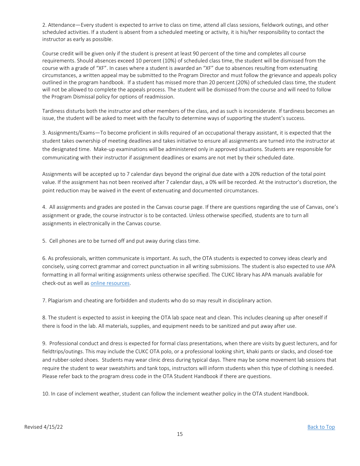2. Attendance—Every student is expected to arrive to class on time, attend all class sessions, fieldwork outings, and other scheduled activities. If a student is absent from a scheduled meeting or activity, it is his/her responsibility to contact the instructor as early as possible.

Course credit will be given only if the student is present at least 90 percent of the time and completes all course requirements. Should absences exceed 10 percent (10%) of scheduled class time, the student will be dismissed from the course with a grade of "XF". In cases where a student is awarded an "XF" due to absences resulting from extenuating circumstances, a written appeal may be submitted to the Program Director and must follow the grievance and appeals policy outlined in the program handbook. If a student has missed more than 20 percent (20%) of scheduled class time, the student will not be allowed to complete the appeals process. The student will be dismissed from the course and will need to follow the Program Dismissal policy for options of readmission.

Tardiness disturbs both the instructor and other members of the class, and as such is inconsiderate. If tardiness becomes an issue, the student will be asked to meet with the faculty to determine ways of supporting the student's success.

3. Assignments/Exams—To become proficient in skills required of an occupational therapy assistant, it is expected that the student takes ownership of meeting deadlines and takes initiative to ensure all assignments are turned into the instructor at the designated time. Make-up examinations will be administered only in approved situations. Students are responsible for communicating with their instructor if assignment deadlines or exams are not met by their scheduled date.

Assignments will be accepted up to 7 calendar days beyond the original due date with a 20% reduction of the total point value. If the assignment has not been received after 7 calendar days, a 0% will be recorded. At the instructor's discretion, the point reduction may be waived in the event of extenuating and documented circumstances.

4. All assignments and grades are posted in the Canvas course page. If there are questions regarding the use of Canvas, one's assignment or grade, the course instructor is to be contacted. Unless otherwise specified, students are to turn all assignments in electronically in the Canvas course.

5. Cell phones are to be turned off and put away during class time.

6. As professionals, written communicate is important. As such, the OTA students is expected to convey ideas clearly and concisely, using correct grammar and correct punctuation in all writing submissions. The student is also expected to use APA formatting in all formal writing assignments unless otherwise specified. The CUKC library has APA manuals available for check-out as well as [online resources.](https://cleveland.instructure.com/courses/951/modules/items/136241)

7. Plagiarism and cheating are forbidden and students who do so may result in disciplinary action.

8. The student is expected to assist in keeping the OTA lab space neat and clean. This includes cleaning up after oneself if there is food in the lab. All materials, supplies, and equipment needs to be sanitized and put away after use.

9. Professional conduct and dress is expected for formal class presentations, when there are visits by guest lecturers, and for fieldtrips/outings. This may include the CUKC OTA polo, or a professional looking shirt, khaki pants or slacks, and closed-toe and rubber-soled shoes. Students may wear clinic dress during typical days. There may be some movement lab sessions that require the student to wear sweatshirts and tank tops, instructors will inform students when this type of clothing is needed. Please refer back to the program dress code in the OTA Student Handbook if there are questions.

10. In case of inclement weather, student can follow the inclement weather policy in the OTA student Handbook.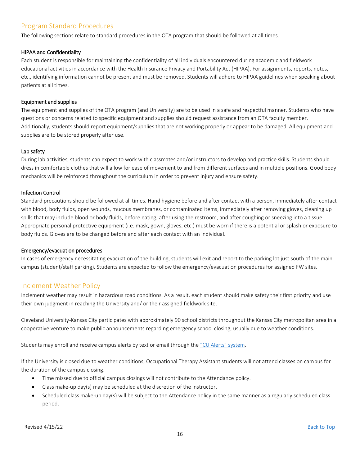# <span id="page-15-0"></span>Program Standard Procedures

The following sections relate to standard procedures in the OTA program that should be followed at all times.

#### HIPAA and Confidentiality

Each student is responsible for maintaining the confidentiality of all individuals encountered during academic and fieldwork educational activities in accordance with the Health Insurance Privacy and Portability Act (HIPAA). For assignments, reports, notes, etc., identifying information cannot be present and must be removed. Students will adhere to HIPAA guidelines when speaking about patients at all times.

#### Equipment and supplies

The equipment and supplies of the OTA program (and University) are to be used in a safe and respectful manner. Students who have questions or concerns related to specific equipment and supplies should request assistance from an OTA faculty member. Additionally, students should report equipment/supplies that are not working properly or appear to be damaged. All equipment and supplies are to be stored properly after use.

#### Lab safety

During lab activities, students can expect to work with classmates and/or instructors to develop and practice skills. Students should dress in comfortable clothes that will allow for ease of movement to and from different surfaces and in multiple positions. Good body mechanics will be reinforced throughout the curriculum in order to prevent injury and ensure safety.

#### Infection Control

Standard precautions should be followed at all times. Hand hygiene before and after contact with a person, immediately after contact with blood, body fluids, open wounds, mucous membranes, or contaminated items, immediately after removing gloves, cleaning up spills that may include blood or body fluids, before eating, after using the restroom, and after coughing or sneezing into a tissue. Appropriate personal protective equipment (i.e. mask, gown, gloves, etc.) must be worn if there is a potential or splash or exposure to body fluids. Gloves are to be changed before and after each contact with an individual.

#### Emergency/evacuation procedures

In cases of emergency necessitating evacuation of the building, students will exit and report to the parking lot just south of the main campus (student/staff parking). Students are expected to follow the emergency/evacuation procedures for assigned FW sites.

## <span id="page-15-1"></span>Inclement Weather Policy

Inclement weather may result in hazardous road conditions. As a result, each student should make safety their first priority and use their own judgment in reaching the University and/ or their assigned fieldwork site.

Cleveland University-Kansas City participates with approximately 90 school districts throughout the Kansas City metropolitan area in a cooperative venture to make public announcements regarding emergency school closing, usually due to weather conditions.

Students may enroll and receive campus alerts by text or email through the ["CU Alerts" system](http://my.textcaster.com/asa/Default.aspx?ID=4c882fb5-eb2b-4530-a7aa-e440f852a35d).

If the University is closed due to weather conditions, Occupational Therapy Assistant students will not attend classes on campus for the duration of the campus closing.

- Time missed due to official campus closings will not contribute to the Attendance policy.
- Class make-up day(s) may be scheduled at the discretion of the instructor.
- Scheduled class make-up day(s) will be subject to the Attendance policy in the same manner as a regularly scheduled class period.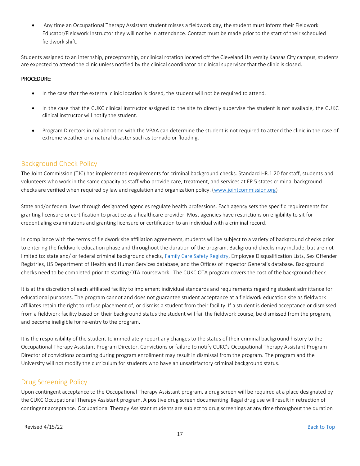Any time an Occupational Therapy Assistant student misses a fieldwork day, the student must inform their Fieldwork Educator/Fieldwork Instructor they will not be in attendance. Contact must be made prior to the start of their scheduled fieldwork shift.

Students assigned to an internship, preceptorship, or clinical rotation located off the Cleveland University Kansas City campus, students are expected to attend the clinic unless notified by the clinical coordinator or clinical supervisor that the clinic is closed.

#### PROCEDURE:

- In the case that the external clinic location is closed, the student will not be required to attend.
- In the case that the CUKC clinical instructor assigned to the site to directly supervise the student is not available, the CUKC clinical instructor will notify the student.
- Program Directors in collaboration with the VPAA can determine the student is not required to attend the clinic in the case of extreme weather or a natural disaster such as tornado or flooding.

# <span id="page-16-0"></span>Background Check Policy

The Joint Commission (TJC) has implemented requirements for criminal background checks. Standard HR.1.20 for staff, students and volunteers who work in the same capacity as staff who provide care, treatment, and services at EP 5 states criminal background checks are verified when required by law and regulation and organization policy. [\(www.jointcommission.org\)](http://www.jointcommission.org/)

State and/or federal laws through designated agencies regulate health professions. Each agency sets the specific requirements for granting licensure or certification to practice as a healthcare provider. Most agencies have restrictions on eligibility to sit for credentialing examinations and granting licensure or certification to an individual with a criminal record.

In compliance with the terms of fieldwork site affiliation agreements, students will be subject to a variety of background checks prior to entering the fieldwork education phase and throughout the duration of the program. Background checks may include, but are not limited to: state and/ or federal criminal background checks, [Family Care Safety Registry,](https://health.mo.gov/safety/fcsr/) Employee Disqualification Lists, Sex Offender Registries, US Department of Health and Human Services database, and the Offices of Inspector General's database. Background checks need to be completed prior to starting OTA coursework. The CUKC OTA program covers the cost of the background check.

It is at the discretion of each affiliated facility to implement individual standards and requirements regarding student admittance for educational purposes. The program cannot and does not guarantee student acceptance at a fieldwork education site as fieldwork affiliates retain the right to refuse placement of, or dismiss a student from their facility. If a student is denied acceptance or dismissed from a fieldwork facility based on their background status the student will fail the fieldwork course, be dismissed from the program, and become ineligible for re‐entry to the program.

It is the responsibility of the student to immediately report any changes to the status of their criminal background history to the Occupational Therapy Assistant Program Director. Convictions or failure to notify CUKC's Occupational Therapy Assistant Program Director of convictions occurring during program enrollment may result in dismissal from the program. The program and the University will not modify the curriculum for students who have an unsatisfactory criminal background status.

## <span id="page-16-1"></span>Drug Screening Policy

Upon contingent acceptance to the Occupational Therapy Assistant program, a drug screen will be required at a place designated by the CUKC Occupational Therapy Assistant program. A positive drug screen documenting illegal drug use will result in retraction of contingent acceptance. Occupational Therapy Assistant students are subject to drug screenings at any time throughout the duration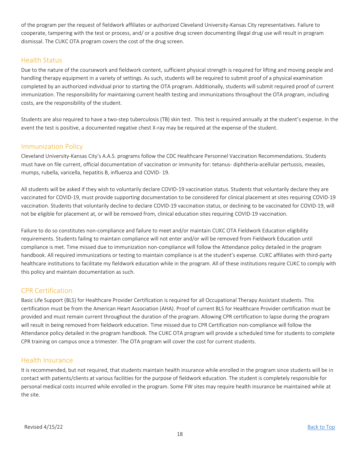of the program per the request of fieldwork affiliates or authorized Cleveland University-Kansas City representatives. Failure to cooperate, tampering with the test or process, and/ or a positive drug screen documenting illegal drug use will result in program dismissal. The CUKC OTA program covers the cost of the drug screen.

### <span id="page-17-0"></span>Health Status

Due to the nature of the coursework and fieldwork content, sufficient physical strength is required for lifting and moving people and handling therapy equipment in a variety of settings. As such, students will be required to submit proof of a physical examination completed by an authorized individual prior to starting the OTA program. Additionally, students will submit required proof of current immunization. The responsibility for maintaining current health testing and immunizations throughout the OTA program, including costs, are the responsibility of the student.

Students are also required to have a two-step tuberculosis (TB) skin test. This test is required annually at the student's expense. In the event the test is positive, a documented negative chest X-ray may be required at the expense of the student.

### <span id="page-17-1"></span>Immunization Policy

Cleveland University-Kansas City's A.A.S. programs follow the CDC Healthcare Personnel Vaccination Recommendations. Students must have on file current, official documentation of vaccination or immunity for: tetanus- diphtheria-acellular pertussis, measles, mumps, rubella, varicella, hepatitis B, influenza and COVID- 19.

All students will be asked if they wish to voluntarily declare COVID-19 vaccination status. Students that voluntarily declare they are vaccinated for COVID-19, must provide supporting documentation to be considered for clinical placement at sites requiring COVID-19 vaccination. Students that voluntarily decline to declare COVID-19 vaccination status, or declining to be vaccinated for COVID-19, will not be eligible for placement at, or will be removed from, clinical education sites requiring COVID-19 vaccination.

Failure to do so constitutes non-compliance and failure to meet and/or maintain CUKC OTA Fieldwork Education eligibility requirements. Students failing to maintain compliance will not enter and/or will be removed from Fieldwork Education until compliance is met. Time missed due to immunization non-compliance will follow the Attendance policy detailed in the program handbook. All required immunizations or testing to maintain compliance is at the student's expense. CUKC affiliates with third-party healthcare institutions to facilitate my fieldwork education while in the program. All of these institutions require CUKC to comply with this policy and maintain documentation as such.

## <span id="page-17-2"></span>CPR Certification

Basic Life Support (BLS) for Healthcare Provider Certification is required for all Occupational Therapy Assistant students. This certification must be from the American Heart Association (AHA). Proof of current BLS for Healthcare Provider certification must be provided and must remain current throughout the duration of the program. Allowing CPR certification to lapse during the program will result in being removed from fieldwork education. Time missed due to CPR Certification non-compliance will follow the Attendance policy detailed in the program handbook. The CUKC OTA program will provide a scheduled time for students to complete CPR training on campus once a trimester. The OTA program will cover the cost for current students.

## <span id="page-17-3"></span>Health Insurance

It is recommended, but not required, that students maintain health insurance while enrolled in the program since students will be in contact with patients/clients at various facilities for the purpose of fieldwork education. The student is completely responsible for personal medical costs incurred while enrolled in the program. Some FW sites may require health insurance be maintained while at the site.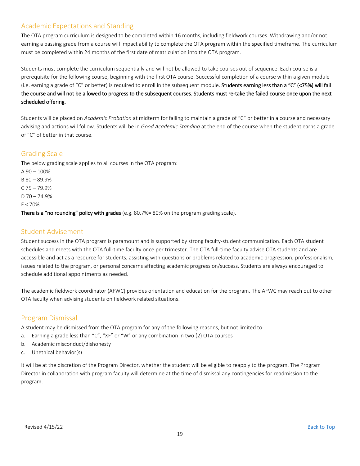# <span id="page-18-0"></span>Academic Expectations and Standing

The OTA program curriculum is designed to be completed within 16 months, including fieldwork courses. Withdrawing and/or not earning a passing grade from a course will impact ability to complete the OTA program within the specified timeframe. The curriculum must be completed within 24 months of the first date of matriculation into the OTA program.

Students must complete the curriculum sequentially and will not be allowed to take courses out of sequence. Each course is a prerequisite for the following course, beginning with the first OTA course. Successful completion of a course within a given module (i.e. earning a grade of "C" or better) is required to enroll in the subsequent module. Students earning less than a "C" (<75%) will fail the course and will not be allowed to progress to the subsequent courses. Students must re-take the failed course once upon the next scheduled offering.

Students will be placed on *Academic Probation* at midterm for failing to maintain a grade of "C" or better in a course and necessary advising and actions will follow. Students will be in *Good Academic Standing* at the end of the course when the student earns a grade of "C" of better in that course.

## <span id="page-18-1"></span>Grading Scale

The below grading scale applies to all courses in the OTA program:  $A$  90  $-$  100%

B 80 – 89.9% C 75 – 79.9%  $D$  70 – 74.9% F < 70% There is a "no rounding" policy with grades (e.g. 80.7%= 80% on the program grading scale).

## <span id="page-18-2"></span>Student Advisement

Student success in the OTA program is paramount and is supported by strong faculty-student communication. Each OTA student schedules and meets with the OTA full-time faculty once per trimester. The OTA full-time faculty advise OTA students and are accessible and act as a resource for students, assisting with questions or problems related to academic progression, professionalism, issues related to the program, or personal concerns affecting academic progression/success. Students are always encouraged to schedule additional appointments as needed.

The academic fieldwork coordinator (AFWC) provides orientation and education for the program. The AFWC may reach out to other OTA faculty when advising students on fieldwork related situations.

# <span id="page-18-3"></span>Program Dismissal

A student may be dismissed from the OTA program for any of the following reasons, but not limited to:

- a. Earning a grade less than "C", "XF" or "W" or any combination in two (2) OTA courses
- b. Academic misconduct/dishonesty
- c. Unethical behavior(s)

It will be at the discretion of the Program Director, whether the student will be eligible to reapply to the program. The Program Director in collaboration with program faculty will determine at the time of dismissal any contingencies for readmission to the program.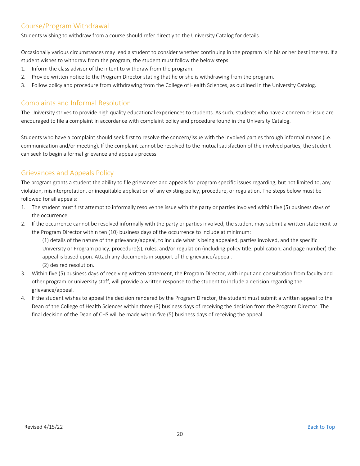# <span id="page-19-0"></span>Course/Program Withdrawal

Students wishing to withdraw from a course should refer directly to the University Catalog for details.

Occasionally various circumstances may lead a student to consider whether continuing in the program is in his or her best interest. If a student wishes to withdraw from the program, the student must follow the below steps:

- 1. Inform the class advisor of the intent to withdraw from the program.
- 2. Provide written notice to the Program Director stating that he or she is withdrawing from the program.
- 3. Follow policy and procedure from withdrawing from the College of Health Sciences, as outlined in the University Catalog.

# <span id="page-19-1"></span>Complaints and Informal Resolution

The University strives to provide high quality educational experiences to students. As such, students who have a concern or issue are encouraged to file a complaint in accordance with complaint policy and procedure found in the University Catalog.

Students who have a complaint should seek first to resolve the concern/issue with the involved parties through informal means (i.e. communication and/or meeting). If the complaint cannot be resolved to the mutual satisfaction of the involved parties, the student can seek to begin a formal grievance and appeals process.

# <span id="page-19-2"></span>Grievances and Appeals Policy

The program grants a student the ability to file grievances and appeals for program specific issues regarding, but not limited to, any violation, misinterpretation, or inequitable application of any existing policy, procedure, or regulation. The steps below must be followed for all appeals:

- 1. The student must first attempt to informally resolve the issue with the party or parties involved within five (5) business days of the occurrence.
- 2. If the occurrence cannot be resolved informally with the party or parties involved, the student may submit a written statement to the Program Director within ten (10) business days of the occurrence to include at minimum:

(1) details of the nature of the grievance/appeal, to include what is being appealed, parties involved, and the specific University or Program policy, procedure(s), rules, and/or regulation (including policy title, publication, and page number) the appeal is based upon. Attach any documents in support of the grievance/appeal.

- (2) desired resolution.
- 3. Within five (5) business days of receiving written statement, the Program Director, with input and consultation from faculty and other program or university staff, will provide a written response to the student to include a decision regarding the grievance/appeal.
- 4. If the student wishes to appeal the decision rendered by the Program Director, the student must submit a written appeal to the Dean of the College of Health Sciences within three (3) business days of receiving the decision from the Program Director. The final decision of the Dean of CHS will be made within five (5) business days of receiving the appeal.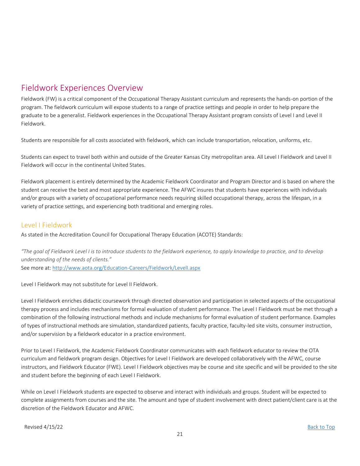# <span id="page-20-0"></span>Fieldwork Experiences Overview

Fieldwork (FW) is a critical component of the Occupational Therapy Assistant curriculum and represents the hands-on portion of the program. The fieldwork curriculum will expose students to a range of practice settings and people in order to help prepare the graduate to be a generalist. Fieldwork experiences in the Occupational Therapy Assistant program consists of Level I and Level II Fieldwork.

Students are responsible for all costs associated with fieldwork, which can include transportation, relocation, uniforms, etc.

Students can expect to travel both within and outside of the Greater Kansas City metropolitan area. All Level I Fieldwork and Level II Fieldwork will occur in the continental United States.

Fieldwork placement is entirely determined by the Academic Fieldwork Coordinator and Program Director and is based on where the student can receive the best and most appropriate experience. The AFWC insures that students have experiences with individuals and/or groups with a variety of occupational performance needs requiring skilled occupational therapy, across the lifespan, in a variety of practice settings, and experiencing both traditional and emerging roles.

## <span id="page-20-1"></span>Level I Fieldwork

As stated in the Accreditation Council for Occupational Therapy Education (ACOTE) Standards:

*"The goal of Fieldwork Level I is to introduce students to the fieldwork experience, to apply knowledge to practice, and to develop understanding of the needs of clients."* See more at:<http://www.aota.org/Education-Careers/Fieldwork/LevelI.aspx>

Level I Fieldwork may not substitute for Level II Fieldwork.

Level I Fieldwork enriches didactic coursework through directed observation and participation in selected aspects of the occupational therapy process and includes mechanisms for formal evaluation of student performance. The Level I Fieldwork must be met through a combination of the following instructional methods and include mechanisms for formal evaluation of student performance. Examples of types of instructional methods are simulation, standardized patients, faculty practice, faculty-led site visits, consumer instruction, and/or supervision by a fieldwork educator in a practice environment.

Prior to Level I Fieldwork, the Academic Fieldwork Coordinator communicates with each fieldwork educator to review the OTA curriculum and fieldwork program design. Objectives for Level I Fieldwork are developed collaboratively with the AFWC, course instructors, and Fieldwork Educator (FWE). Level I Fieldwork objectives may be course and site specific and will be provided to the site and student before the beginning of each Level I Fieldwork.

While on Level I Fieldwork students are expected to observe and interact with individuals and groups. Student will be expected to complete assignments from courses and the site. The amount and type of student involvement with direct patient/client care is at the discretion of the Fieldwork Educator and AFWC.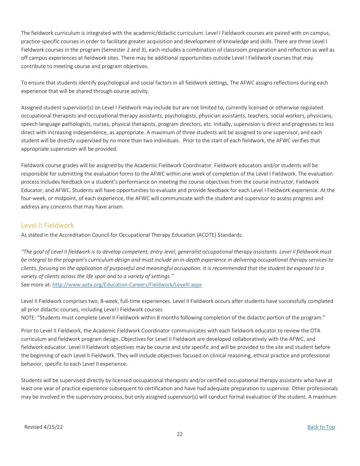The fieldwork curriculum is integrated with the academic/didactic curriculum. Level I Fieldwork courses are paired with on campus, practice-specific courses in order to facilitate greater acquisition and development of knowledge and skills. There are three Level I Fieldwork courses in the program (Semester 2 and 3), each includes a combination of classroom preparation and reflection as well as off campus experiences at fieldwork sites. There may be additional opportunities outside Level I Fieldwork courses that may contribute to meeting course and program objectives.

To ensure that students identify psychological and social factors in all fieldwork settings, The AFWC assigns reflections during each experience that will be shared through course activity.

Assigned student supervisor(s) on Level I Fieldwork may include but are not limited to, currently licensed or otherwise regulated occupational therapists and occupational therapy assistants, psychologists, physician assistants, teachers, social workers, physicians, speech language pathologists, nurses, physical therapists, program directors, etc. Initially, supervision is direct and progresses to less direct with increasing independence, as appropriate. A maximum of three students will be assigned to one supervisor, and each student will be directly supervised by no more than two individuals. Prior to the start of each fieldwork, the AFWC verifies that appropriate supervision will be provided.

Fieldwork course grades will be assigned by the Academic Fieldwork Coordinator. Fieldwork educators and/or students will be responsible for submitting the evaluation forms to the AFWC within one week of completion of the Level I Fieldwork. The evaluation process includes feedback on a student's performance on meeting the course objectives from the course instructor, Fieldwork Educator, and AFWC. Students will have opportunities to evaluate and provide feedback for each Level I Fieldwork experience. At the four-week, or midpoint, of each experience, the AFWC will communicate with the student and supervisor to assess progress and address any concerns that may have arisen.

## <span id="page-21-0"></span>Level II Fieldwork

As stated in the Accreditation Council for Occupational Therapy Education (ACOTE) Standards:

*"The goal of Level II fieldwork is to develop competent, entry-level, generalist occupational therapy assistants. Level II fieldwork must be integral to the program's curriculum design and must include an in-depth experience in delivering occupational therapy services to clients, focusing on the application of purposeful and meaningful occupation. It is recommended that the student be exposed to a variety of clients across the life span and to a variety of settings."* See more at:<http://www.aota.org/Education-Careers/Fieldwork/LevelII.aspx>

Level II Fieldwork comprises two, 8-week, full-time experiences. Level II Fieldwork occurs after students have successfully completed all prior didactic courses, including Level I Fieldwork courses

NOTE: "Students must complete Level II Fieldwork within 8 months following completion of the didactic portion of the program."

Prior to Level II Fieldwork, the Academic Fieldwork Coordinator communicates witheach fieldwork educator to review the OTA curriculum and fieldwork program design. Objectives for Level II Fieldwork are developed collaboratively with the AFWC, and fieldwork educator. Level II Fieldwork objectives may be course and site specific and will be provided to the site and student before the beginning of each Level II Fieldwork. They will include objectives focused on clinical reasoning, ethical practice and professional behavior, specific to each Level II experience.

Students will be supervised directly by licensed occupational therapists and/or certified occupational therapy assistants who have at least one year of practice experience subsequent to certification and have had adequate preparation to supervise. Other professionals may be involved in the supervisory process, but only assigned supervisor(s) will conduct formal evaluation of the student. A maximum